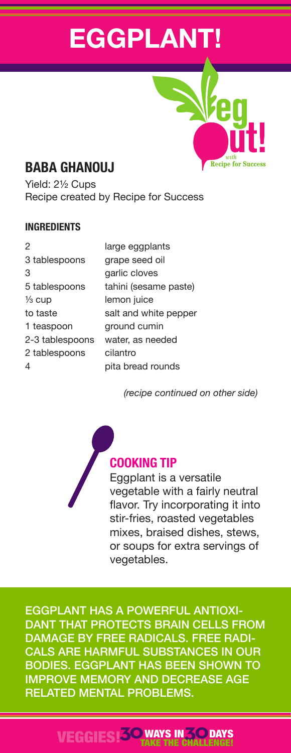# **EGGPLANT!**

# **BABA GHANOUJ**

Yield: 2½ Cups Recipe created by Recipe for Success

#### **INGREDIENTS**

| 2               | large eggplants       |
|-----------------|-----------------------|
| 3 tablespoons   | grape seed oil        |
| 3               | garlic cloves         |
| 5 tablespoons   | tahini (sesame paste) |
| ½ cup           | lemon juice           |
| to taste        | salt and white pepper |
| 1 teaspoon      | ground cumin          |
| 2-3 tablespoons | water, as needed      |
| 2 tablespoons   | cilantro              |
| 4               | pita bread rounds     |
|                 |                       |

*(recipe continued on other side)*

**Recipe for Succes** 

# **COOKING TIP**

Eggplant is a versatile vegetable with a fairly neutral flavor. Try incorporating it into stir-fries, roasted vegetables mixes, braised dishes, stews, or soups for extra servings of vegetables.

EGGPLANT HAS A POWERFUL ANTIOXI-DANT THAT PROTECTS BRAIN CELLS FROM DAMAGE BY FREE RADICALS. FREE RADI-CALS ARE HARMFUL SUBSTANCES IN OUR BODIES. EGGPLANT HAS BEEN SHOWN TO IMPROVE MEMORY AND DECREASE AGE RELATED MENTAL PROBLEMS.

## VEGGIES!**30**WAYS IN**30** TAKE THE CHALLENGE! **DAYS**